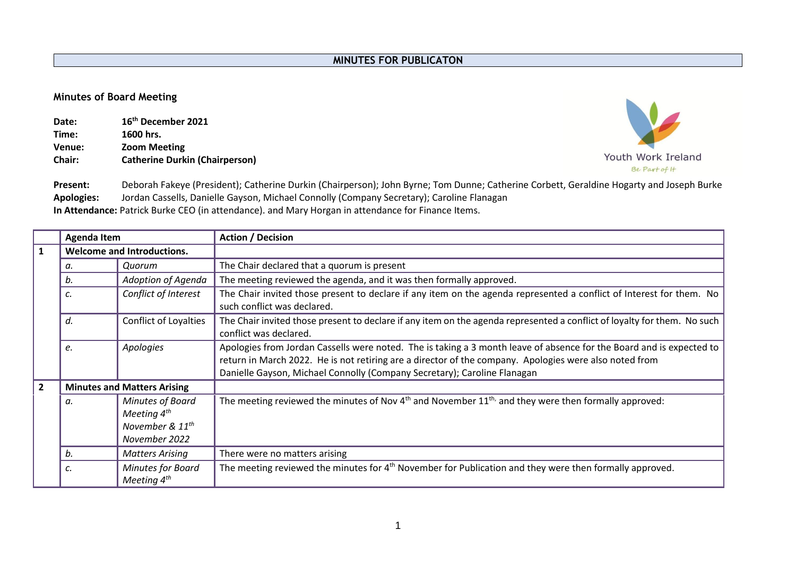## **Minutes of Board Meeting**

| Date:         | 16 <sup>th</sup> December 2021        |
|---------------|---------------------------------------|
| Time:         | 1600 hrs.                             |
| Venue:        | <b>Zoom Meeting</b>                   |
| <b>Chair:</b> | <b>Catherine Durkin (Chairperson)</b> |



**Present:** Deborah Fakeye (President); Catherine Durkin (Chairperson); John Byrne; Tom Dunne; Catherine Corbett, Geraldine Hogarty and Joseph Burke **Apologies:** Jordan Cassells, Danielle Gayson, Michael Connolly (Company Secretary); Caroline Flanagan **In Attendance:** Patrick Burke CEO (in attendance). and Mary Horgan in attendance for Finance Items.

|                | <b>Agenda Item</b> |                                                                                      | <b>Action / Decision</b>                                                                                                                                                                                                                                                                                   |  |  |  |  |  |  |  |  |
|----------------|--------------------|--------------------------------------------------------------------------------------|------------------------------------------------------------------------------------------------------------------------------------------------------------------------------------------------------------------------------------------------------------------------------------------------------------|--|--|--|--|--|--|--|--|
| $\mathbf{1}$   |                    | <b>Welcome and Introductions.</b>                                                    |                                                                                                                                                                                                                                                                                                            |  |  |  |  |  |  |  |  |
|                | а.                 | Quorum                                                                               | The Chair declared that a quorum is present                                                                                                                                                                                                                                                                |  |  |  |  |  |  |  |  |
|                | b.                 | Adoption of Agenda                                                                   | The meeting reviewed the agenda, and it was then formally approved.                                                                                                                                                                                                                                        |  |  |  |  |  |  |  |  |
|                | c.                 | Conflict of Interest                                                                 | The Chair invited those present to declare if any item on the agenda represented a conflict of Interest for them. No<br>such conflict was declared.                                                                                                                                                        |  |  |  |  |  |  |  |  |
|                | d.                 | Conflict of Loyalties                                                                | The Chair invited those present to declare if any item on the agenda represented a conflict of loyalty for them. No such<br>conflict was declared.                                                                                                                                                         |  |  |  |  |  |  |  |  |
|                | e.                 | Apologies                                                                            | Apologies from Jordan Cassells were noted. The is taking a 3 month leave of absence for the Board and is expected to<br>return in March 2022. He is not retiring are a director of the company. Apologies were also noted from<br>Danielle Gayson, Michael Connolly (Company Secretary); Caroline Flanagan |  |  |  |  |  |  |  |  |
| $\overline{2}$ |                    | <b>Minutes and Matters Arising</b>                                                   |                                                                                                                                                                                                                                                                                                            |  |  |  |  |  |  |  |  |
|                | а.                 | Minutes of Board<br>Meeting $4^{th}$<br>November & 11 <sup>th</sup><br>November 2022 | The meeting reviewed the minutes of Nov $4th$ and November $11th$ , and they were then formally approved:                                                                                                                                                                                                  |  |  |  |  |  |  |  |  |
|                | b.                 | <b>Matters Arising</b>                                                               | There were no matters arising                                                                                                                                                                                                                                                                              |  |  |  |  |  |  |  |  |
|                | c.                 | Minutes for Board<br>Meeting 4 <sup>th</sup>                                         | The meeting reviewed the minutes for $4th$ November for Publication and they were then formally approved.                                                                                                                                                                                                  |  |  |  |  |  |  |  |  |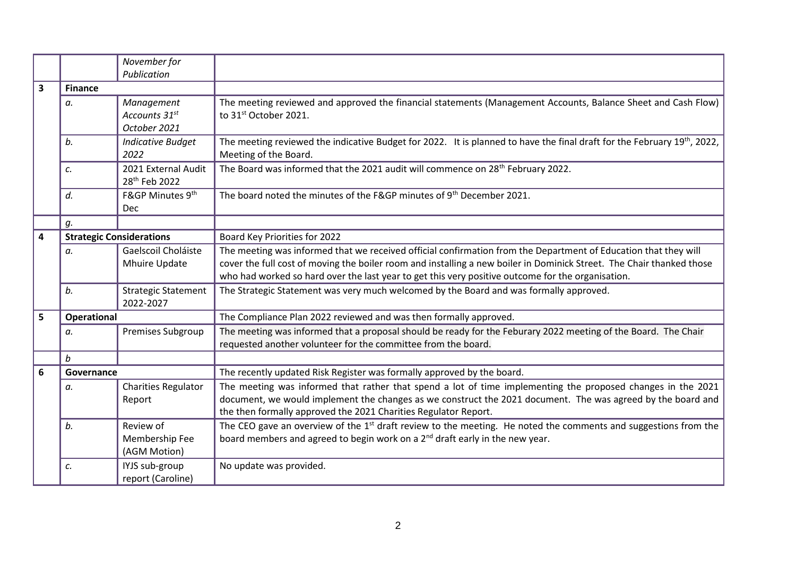|   |                  | November for                    |                                                                                                                                      |
|---|------------------|---------------------------------|--------------------------------------------------------------------------------------------------------------------------------------|
|   |                  | Publication                     |                                                                                                                                      |
| 3 | <b>Finance</b>   |                                 |                                                                                                                                      |
|   | a.               | Management                      | The meeting reviewed and approved the financial statements (Management Accounts, Balance Sheet and Cash Flow)                        |
|   |                  | Accounts 31st                   | to 31st October 2021.                                                                                                                |
|   |                  | October 2021                    |                                                                                                                                      |
|   | b.               | <b>Indicative Budget</b>        | The meeting reviewed the indicative Budget for 2022. It is planned to have the final draft for the February 19 <sup>th</sup> , 2022, |
|   |                  | 2022                            | Meeting of the Board.                                                                                                                |
|   | c.               | 2021 External Audit             | The Board was informed that the 2021 audit will commence on 28 <sup>th</sup> February 2022.                                          |
|   |                  | 28 <sup>th</sup> Feb 2022       |                                                                                                                                      |
|   | d.               | F&GP Minutes 9th                | The board noted the minutes of the F&GP minutes of 9 <sup>th</sup> December 2021.                                                    |
|   |                  | Dec                             |                                                                                                                                      |
|   | g.               |                                 |                                                                                                                                      |
| 4 |                  | <b>Strategic Considerations</b> | Board Key Priorities for 2022                                                                                                        |
|   | a.               | Gaelscoil Choláiste             | The meeting was informed that we received official confirmation from the Department of Education that they will                      |
|   |                  | Mhuire Update                   | cover the full cost of moving the boiler room and installing a new boiler in Dominick Street. The Chair thanked those                |
|   |                  |                                 | who had worked so hard over the last year to get this very positive outcome for the organisation.                                    |
|   | b.               | <b>Strategic Statement</b>      | The Strategic Statement was very much welcomed by the Board and was formally approved.                                               |
|   |                  | 2022-2027                       |                                                                                                                                      |
| 5 | Operational      |                                 | The Compliance Plan 2022 reviewed and was then formally approved.                                                                    |
|   | а.               | Premises Subgroup               | The meeting was informed that a proposal should be ready for the Feburary 2022 meeting of the Board. The Chair                       |
|   |                  |                                 | requested another volunteer for the committee from the board.                                                                        |
|   | $\boldsymbol{b}$ |                                 |                                                                                                                                      |
| 6 | Governance       |                                 | The recently updated Risk Register was formally approved by the board.                                                               |
|   | а.               | <b>Charities Regulator</b>      | The meeting was informed that rather that spend a lot of time implementing the proposed changes in the 2021                          |
|   |                  | Report                          | document, we would implement the changes as we construct the 2021 document. The was agreed by the board and                          |
|   |                  |                                 | the then formally approved the 2021 Charities Regulator Report.                                                                      |
|   | b.               | Review of                       | The CEO gave an overview of the 1 <sup>st</sup> draft review to the meeting. He noted the comments and suggestions from the          |
|   |                  | Membership Fee                  | board members and agreed to begin work on a 2 <sup>nd</sup> draft early in the new year.                                             |
|   |                  | (AGM Motion)                    |                                                                                                                                      |
|   | c.               | IYJS sub-group                  | No update was provided.                                                                                                              |
|   |                  | report (Caroline)               |                                                                                                                                      |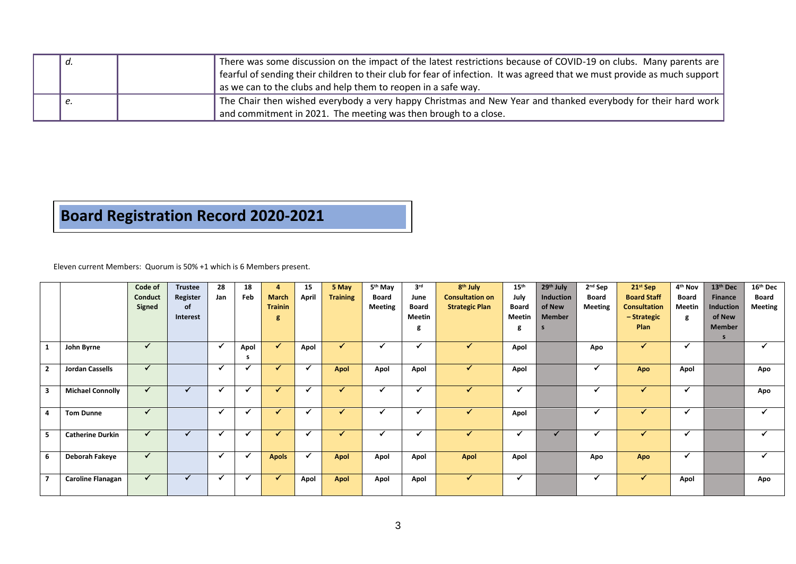| а. | There was some discussion on the impact of the latest restrictions because of COVID-19 on clubs. Many parents are<br>  fearful of sending their children to their club for fear of infection. It was agreed that we must provide as much support<br>as we can to the clubs and help them to reopen in a safe way. |
|----|-------------------------------------------------------------------------------------------------------------------------------------------------------------------------------------------------------------------------------------------------------------------------------------------------------------------|
|    | The Chair then wished everybody a very happy Christmas and New Year and thanked everybody for their hard work<br>and commitment in 2021. The meeting was then brough to a close.                                                                                                                                  |

## **Board Registration Record 2020-2021**

Eleven current Members: Quorum is 50% +1 which is 6 Members present.

|                |                          | Code of    | <b>Trustee</b> | 28           | 18   | 4              | 15    | 5 May                    | 5 <sup>th</sup> May | 3 <sup>rd</sup> | 8 <sup>th</sup> July   | 15 <sup>th</sup> | 29th July     | $2nd$ Sep      | $21st$ Sep          | 4 <sup>th</sup> Nov | 13 <sup>th</sup> Dec | 16 <sup>th</sup> Dec |
|----------------|--------------------------|------------|----------------|--------------|------|----------------|-------|--------------------------|---------------------|-----------------|------------------------|------------------|---------------|----------------|---------------------|---------------------|----------------------|----------------------|
|                |                          | Conduct    | Register       | Jan          | Feb  | <b>March</b>   | April | <b>Training</b>          | <b>Board</b>        | June            | <b>Consultation on</b> | July             | Induction     | Board          | <b>Board Staff</b>  | Board               | <b>Finance</b>       | <b>Board</b>         |
|                |                          | Signed     | <b>of</b>      |              |      | <b>Trainin</b> |       |                          | <b>Meeting</b>      | <b>Board</b>    | <b>Strategic Plan</b>  | Board            | of New        | <b>Meeting</b> | <b>Consultation</b> | Meetin              | Induction            | <b>Meeting</b>       |
|                |                          |            | Interest       |              |      | g              |       |                          |                     | Meetin          |                        | Meetin           | <b>Member</b> |                | - Strategic         | g                   | of New               |                      |
|                |                          |            |                |              |      |                |       |                          |                     | g               |                        | g                |               |                | Plan                |                     | <b>Member</b>        |                      |
|                |                          |            |                |              |      |                |       |                          |                     |                 |                        |                  |               |                |                     |                     | s.                   |                      |
| $\mathbf{1}$   | John Byrne               | ✓          |                | ✔            | Apol | ✓              | Apol  | $\overline{\mathcal{L}}$ |                     |                 | ✔                      | Apol             |               | Apo            | ✔                   |                     |                      |                      |
|                |                          |            |                |              | s.   |                |       |                          |                     |                 |                        |                  |               |                |                     |                     |                      |                      |
| $\overline{2}$ | <b>Jordan Cassells</b>   | ✓          |                | √            |      |                |       | Apol                     | Apol                | Apol            |                        | Apol             |               |                | Apo                 | Apol                |                      | Apo                  |
|                |                          |            |                |              |      |                |       |                          |                     |                 |                        |                  |               |                |                     |                     |                      |                      |
| 3              | <b>Michael Connolly</b>  |            |                | $\checkmark$ |      | ✔              |       | $\sqrt{ }$               | $\checkmark$        | $\checkmark$    |                        | $\checkmark$     |               |                |                     | ✓                   |                      | Apo                  |
|                |                          |            |                |              |      |                |       |                          |                     |                 |                        |                  |               |                |                     |                     |                      |                      |
| 4              | <b>Tom Dunne</b>         | $\sqrt{ }$ |                | ✔            |      |                |       | ◢                        |                     |                 |                        | Apol             |               |                |                     |                     |                      |                      |
|                |                          |            |                |              |      |                |       |                          |                     |                 |                        |                  |               |                |                     |                     |                      |                      |
| 5              | <b>Catherine Durkin</b>  |            |                |              |      |                |       |                          |                     |                 |                        |                  |               |                |                     |                     |                      |                      |
|                |                          |            |                |              |      |                |       |                          |                     |                 |                        |                  |               |                |                     |                     |                      |                      |
| 6              | Deborah Fakeye           |            |                | ✓            |      |                |       |                          |                     |                 |                        |                  |               |                |                     | $\checkmark$        |                      |                      |
|                |                          |            |                |              |      |                |       |                          |                     |                 |                        |                  |               |                |                     |                     |                      |                      |
| $\overline{7}$ |                          | ✓          |                | M            |      |                |       |                          |                     |                 | ✔                      | ۷                |               |                |                     |                     |                      | Apo                  |
|                |                          |            |                |              |      |                |       |                          |                     |                 |                        |                  |               |                |                     |                     |                      |                      |
|                | <b>Caroline Flanagan</b> |            |                |              |      | <b>Apols</b>   | Apol  | Apol<br>Apol             | Apol<br>Apol        | Apol<br>Apol    | Apol                   | Apol             |               | Apo            | Apo                 |                     | Apol                 |                      |